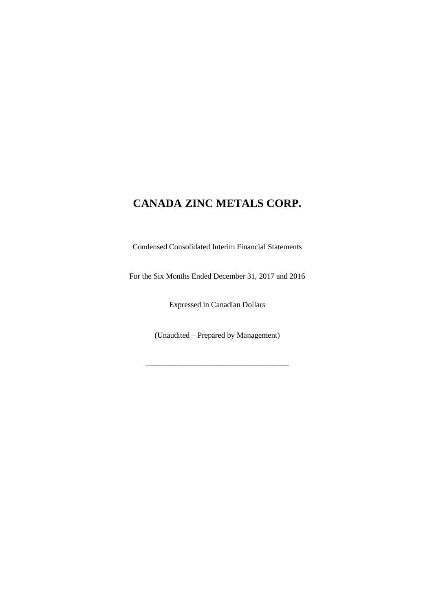Condensed Consolidated Interim Financial Statements

For the Six Months Ended December 31, 2017 and 2016

Expressed in Canadian Dollars

(Unaudited – Prepared by Management)

\_\_\_\_\_\_\_\_\_\_\_\_\_\_\_\_\_\_\_\_\_\_\_\_\_\_\_\_\_\_\_\_\_\_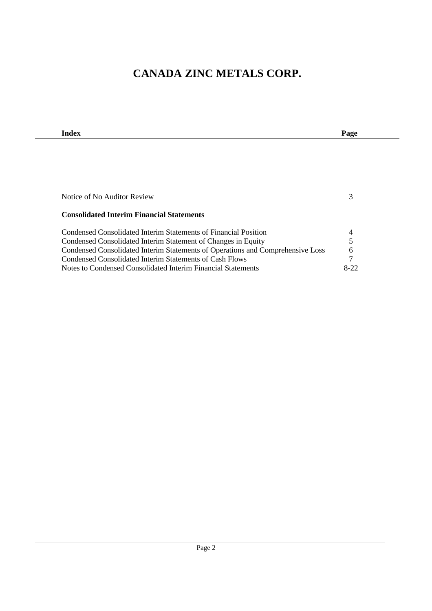| Index                                                                          | Page   |
|--------------------------------------------------------------------------------|--------|
|                                                                                |        |
|                                                                                |        |
|                                                                                |        |
|                                                                                |        |
|                                                                                |        |
| Notice of No Auditor Review                                                    | 3      |
|                                                                                |        |
| <b>Consolidated Interim Financial Statements</b>                               |        |
| Condensed Consolidated Interim Statements of Financial Position                | 4      |
| Condensed Consolidated Interim Statement of Changes in Equity                  | 5      |
| Condensed Consolidated Interim Statements of Operations and Comprehensive Loss | 6      |
| Condensed Consolidated Interim Statements of Cash Flows                        | 7      |
| Notes to Condensed Consolidated Interim Financial Statements                   | $8-22$ |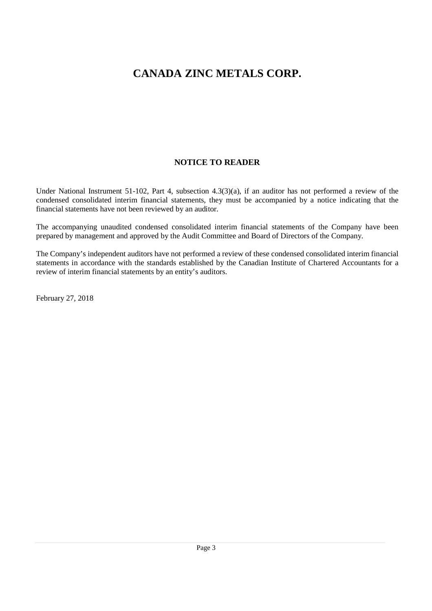## **NOTICE TO READER**

Under National Instrument 51-102, Part 4, subsection 4.3(3)(a), if an auditor has not performed a review of the condensed consolidated interim financial statements, they must be accompanied by a notice indicating that the financial statements have not been reviewed by an auditor.

The accompanying unaudited condensed consolidated interim financial statements of the Company have been prepared by management and approved by the Audit Committee and Board of Directors of the Company.

The Company's independent auditors have not performed a review of these condensed consolidated interim financial statements in accordance with the standards established by the Canadian Institute of Chartered Accountants for a review of interim financial statements by an entity's auditors.

February 27, 2018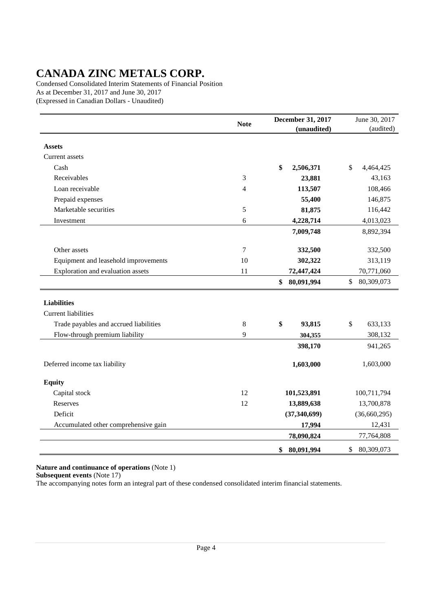Condensed Consolidated Interim Statements of Financial Position As at December 31, 2017 and June 30, 2017 (Expressed in Canadian Dollars - Unaudited)

|                                        | <b>Note</b> | <b>December 31, 2017</b><br>(unaudited) | June 30, 2017<br>(audited) |
|----------------------------------------|-------------|-----------------------------------------|----------------------------|
|                                        |             |                                         |                            |
| <b>Assets</b>                          |             |                                         |                            |
| Current assets                         |             |                                         |                            |
| Cash                                   |             | \$<br>2,506,371                         | \$<br>4,464,425            |
| Receivables                            | 3           | 23,881                                  | 43,163                     |
| Loan receivable                        | 4           | 113,507                                 | 108,466                    |
| Prepaid expenses                       |             | 55,400                                  | 146,875                    |
| Marketable securities                  | 5           | 81,875                                  | 116,442                    |
| Investment                             | 6           | 4,228,714                               | 4,013,023                  |
|                                        |             | 7,009,748                               | 8,892,394                  |
| Other assets                           | $\tau$      | 332,500                                 | 332,500                    |
| Equipment and leasehold improvements   | 10          | 302,322                                 | 313,119                    |
| Exploration and evaluation assets      | 11          | 72,447,424                              | 70,771,060                 |
|                                        |             | \$<br>80,091,994                        | \$<br>80,309,073           |
| <b>Liabilities</b>                     |             |                                         |                            |
| <b>Current liabilities</b>             |             |                                         |                            |
| Trade payables and accrued liabilities | 8           | \$<br>93,815                            | $\$$<br>633,133            |
| Flow-through premium liability         | 9           | 304,355                                 | 308,132                    |
|                                        |             | 398,170                                 | 941,265                    |
| Deferred income tax liability          |             | 1,603,000                               | 1,603,000                  |
| <b>Equity</b>                          |             |                                         |                            |
| Capital stock                          | 12          | 101,523,891                             | 100,711,794                |
| Reserves                               | 12          | 13,889,638                              | 13,700,878                 |
| Deficit                                |             | (37, 340, 699)                          | (36,660,295)               |
| Accumulated other comprehensive gain   |             | 17,994                                  | 12,431                     |
|                                        |             | 78,090,824                              | 77,764,808                 |
|                                        |             | \$<br>80,091,994                        | \$<br>80,309,073           |

### **Nature and continuance of operations** (Note 1)

**Subsequent events** (Note 17)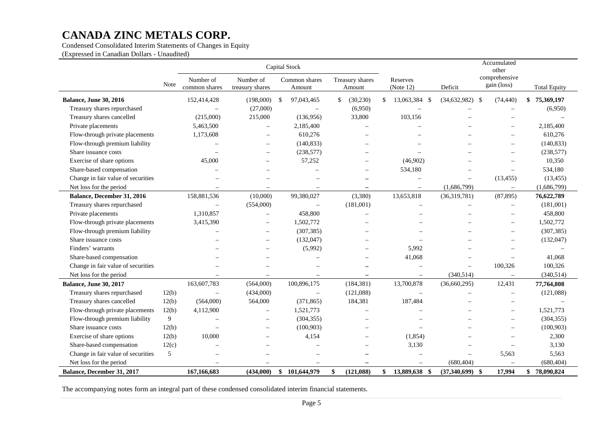Condensed Consolidated Interim Statements of Changes in Equity

(Expressed in Canadian Dollars - Unaudited)

|                                    |       | Capital Stock              |                              |               |                          |     |                           |               |                          |                          | Accumulated<br>other         |                     |
|------------------------------------|-------|----------------------------|------------------------------|---------------|--------------------------|-----|---------------------------|---------------|--------------------------|--------------------------|------------------------------|---------------------|
|                                    | Note  | Number of<br>common shares | Number of<br>treasury shares |               | Common shares<br>Amount  |     | Treasury shares<br>Amount |               | Reserves<br>(Note 12)    | Deficit                  | comprehensive<br>gain (loss) | <b>Total Equity</b> |
| <b>Balance, June 30, 2016</b>      |       | 152,414,428                | (198,000)                    | <sup>\$</sup> | 97,043,465               | \$. | (30,230)                  | <sup>\$</sup> | 13,063,384 \$            | $(34,632,982)$ \$        | (74, 440)                    | 75,369,197<br>\$    |
| Treasury shares repurchased        |       |                            | (27,000)                     |               | $\overline{\phantom{m}}$ |     | (6,950)                   |               |                          |                          | $\overline{\phantom{0}}$     | (6,950)             |
| Treasury shares cancelled          |       | (215,000)                  | 215,000                      |               | (136,956)                |     | 33,800                    |               | 103,156                  |                          |                              |                     |
| Private placements                 |       | 5,463,500                  |                              |               | 2,185,400                |     |                           |               |                          |                          | $\overline{\phantom{0}}$     | 2,185,400           |
| Flow-through private placements    |       | 1,173,608                  | Ē,                           |               | 610,276                  |     |                           |               |                          |                          |                              | 610,276             |
| Flow-through premium liability     |       |                            | $\overline{\phantom{0}}$     |               | (140, 833)               |     |                           |               |                          |                          | $\overline{\phantom{0}}$     | (140, 833)          |
| Share issuance costs               |       |                            | $\equiv$                     |               | (238, 577)               |     |                           |               |                          |                          | $\equiv$                     | (238, 577)          |
| Exercise of share options          |       | 45,000                     | -                            |               | 57,252                   |     |                           |               | (46,902)                 |                          | $\overline{\phantom{0}}$     | 10,350              |
| Share-based compensation           |       |                            |                              |               |                          |     | $\overline{\phantom{0}}$  |               | 534,180                  |                          | $\overline{\phantom{0}}$     | 534,180             |
| Change in fair value of securities |       |                            |                              |               |                          |     |                           |               |                          | $\overline{\phantom{0}}$ | (13, 455)                    | (13, 455)           |
| Net loss for the period            |       |                            |                              |               | $\overline{\phantom{0}}$ |     | $\overline{\phantom{0}}$  |               |                          | (1,686,799)              | $\overline{\phantom{0}}$     | (1,686,799)         |
| Balance, December 31, 2016         |       | 158,881,536                | (10,000)                     |               | 99,380,027               |     | (3,380)                   |               | 13,653,818               | (36,319,781)             | (87, 895)                    | 76,622,789          |
| Treasury shares repurchased        |       | $\overline{\phantom{m}}$   | (554,000)                    |               | $\overline{\phantom{0}}$ |     | (181,001)                 |               | $\overline{\phantom{0}}$ | $\overline{\phantom{0}}$ | $\qquad \qquad -$            | (181,001)           |
| Private placements                 |       | 1,310,857                  | $\overline{\phantom{0}}$     |               | 458,800                  |     | $\overline{\phantom{0}}$  |               |                          |                          | $\overline{\phantom{0}}$     | 458,800             |
| Flow-through private placements    |       | 3,415,390                  | $\overline{\phantom{0}}$     |               | 1,502,772                |     |                           |               |                          |                          | $\overline{\phantom{0}}$     | 1,502,772           |
| Flow-through premium liability     |       | $\overline{\phantom{0}}$   | —                            |               | (307, 385)               |     |                           |               |                          |                          |                              | (307, 385)          |
| Share issuance costs               |       |                            | $\overline{\phantom{0}}$     |               | (132, 047)               |     |                           |               |                          |                          |                              | (132, 047)          |
| Finders' warrants                  |       |                            | $\overline{\phantom{0}}$     |               | (5,992)                  |     |                           |               | 5,992                    |                          | $\overline{\phantom{0}}$     |                     |
| Share-based compensation           |       |                            |                              |               | $\overline{\phantom{0}}$ |     |                           |               | 41,068                   |                          | $\equiv$                     | 41,068              |
| Change in fair value of securities |       |                            |                              |               |                          |     |                           |               | Ē,                       | $\overline{\phantom{0}}$ | 100,326                      | 100,326             |
| Net loss for the period            |       |                            |                              |               |                          |     | $\overline{\phantom{0}}$  |               |                          | (340, 514)               | $\overline{\phantom{0}}$     | (340, 514)          |
| <b>Balance, June 30, 2017</b>      |       | 163,607,783                | (564,000)                    |               | 100,896,175              |     | (184, 381)                |               | 13,700,878               | (36,660,295)             | 12,431                       | 77,764,808          |
| Treasury shares repurchased        | 12(b) | $\overline{\phantom{0}}$   | (434,000)                    |               | $\overline{\phantom{0}}$ |     | (121,088)                 |               |                          |                          | $\overline{\phantom{0}}$     | (121,088)           |
| Treasury shares cancelled          | 12(b) | (564,000)                  | 564,000                      |               | (371, 865)               |     | 184,381                   |               | 187,484                  |                          | $\overline{\phantom{0}}$     |                     |
| Flow-through private placements    | 12(b) | 4,112,900                  |                              |               | 1,521,773                |     |                           |               |                          |                          | $\overline{\phantom{0}}$     | 1,521,773           |
| Flow-through premium liability     | 9     |                            |                              |               | (304, 355)               |     |                           |               |                          |                          | $\overline{\phantom{0}}$     | (304, 355)          |
| Share issuance costs               | 12(b) |                            | $\overline{\phantom{0}}$     |               | (100, 903)               |     |                           |               |                          |                          | $\overline{\phantom{0}}$     | (100, 903)          |
| Exercise of share options          | 12(b) | 10,000                     |                              |               | 4,154                    |     |                           |               | (1,854)                  |                          |                              | 2,300               |
| Share-based compensation           | 12(c) |                            |                              |               |                          |     |                           |               | 3,130                    | $\equiv$                 | $\overline{\phantom{0}}$     | 3,130               |
| Change in fair value of securities | 5     | $\overline{\phantom{0}}$   |                              |               |                          |     |                           |               | $\overline{\phantom{0}}$ | $\overline{\phantom{0}}$ | 5,563                        | 5,563               |
| Net loss for the period            |       | $\equiv$                   | $=$                          |               | $\overline{\phantom{0}}$ |     | -                         |               | $\overline{\phantom{0}}$ | (680, 404)               | $\overline{\phantom{0}}$     | (680, 404)          |
| Balance, December 31, 2017         |       | 167,166,683                | (434,000)                    | \$            | 101,644,979              | \$  | (121, 088)                | \$            | 13,889,638 \$            | $(37,340,699)$ \$        | 17,994                       | \$78,090,824        |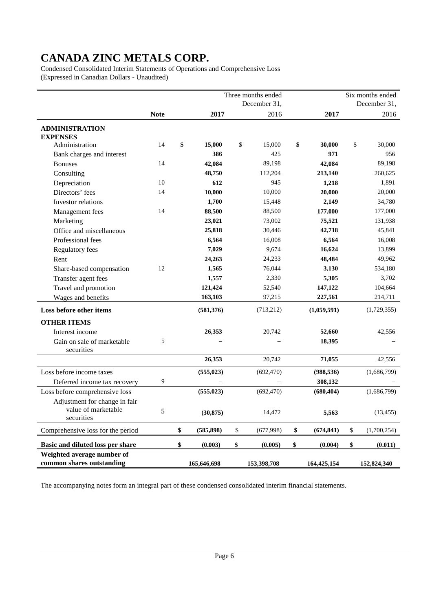Condensed Consolidated Interim Statements of Operations and Comprehensive Loss (Expressed in Canadian Dollars - Unaudited)

|                                                                    |             |                  | Three months ended<br>December 31, |                  | Six months ended<br>December 31, |
|--------------------------------------------------------------------|-------------|------------------|------------------------------------|------------------|----------------------------------|
|                                                                    | <b>Note</b> | 2017             | 2016                               | 2017             | 2016                             |
| <b>ADMINISTRATION</b><br><b>EXPENSES</b>                           |             |                  |                                    |                  |                                  |
| Administration                                                     | 14          | \$<br>15,000     | \$<br>15,000                       | \$<br>30,000     | \$<br>30,000                     |
| Bank charges and interest                                          |             | 386              | 425                                | 971              | 956                              |
| <b>Bonuses</b>                                                     | 14          | 42,084           | 89,198                             | 42,084           | 89,198                           |
| Consulting                                                         |             | 48,750           | 112,204                            | 213,140          | 260,625                          |
| Depreciation                                                       | 10          | 612              | 945                                | 1,218            | 1,891                            |
| Directors' fees                                                    | 14          | 10,000           | 10,000                             | 20,000           | 20,000                           |
| Investor relations                                                 |             | 1,700            | 15,448                             | 2,149            | 34,780                           |
| Management fees                                                    | 14          | 88,500           | 88,500                             | 177,000          | 177,000                          |
| Marketing                                                          |             | 23,021           | 73,002                             | 75,521           | 131,938                          |
| Office and miscellaneous                                           |             | 25,818           | 30,446                             | 42,718           | 45,841                           |
| Professional fees                                                  |             | 6,564            | 16,008                             | 6,564            | 16,008                           |
| Regulatory fees                                                    |             | 7,029            | 9,674                              | 16,624           | 13,899                           |
| Rent                                                               |             | 24,263           | 24,233                             | 48,484           | 49,962                           |
| Share-based compensation                                           | 12          | 1,565            | 76,044                             | 3,130            | 534,180                          |
| Transfer agent fees                                                |             | 1,557            | 2,330                              | 5,305            | 3,702                            |
| Travel and promotion                                               |             | 121,424          | 52,540                             | 147,122          | 104,664                          |
| Wages and benefits                                                 |             | 163,103          | 97,215                             | 227,561          | 214,711                          |
| Loss before other items                                            |             | (581,376)        | (713,212)                          | (1,059,591)      | (1,729,355)                      |
| <b>OTHER ITEMS</b>                                                 |             |                  |                                    |                  |                                  |
| Interest income                                                    |             | 26,353           | 20,742                             | 52,660           | 42,556                           |
| Gain on sale of marketable<br>securities                           | 5           |                  |                                    | 18,395           |                                  |
|                                                                    |             | 26,353           | 20,742                             | 71,055           | 42,556                           |
| Loss before income taxes                                           |             | (555, 023)       | (692, 470)                         | (988, 536)       | (1,686,799)                      |
| Deferred income tax recovery                                       | 9           |                  |                                    | 308,132          |                                  |
| Loss before comprehensive loss                                     |             | (555, 023)       | (692, 470)                         | (680, 404)       | (1,686,799)                      |
| Adjustment for change in fair<br>value of marketable<br>securities | 5           | (30, 875)        | 14,472                             | 5,563            | (13, 455)                        |
| Comprehensive loss for the period                                  |             | \$<br>(585, 898) | \$<br>(677,998)                    | \$<br>(674, 841) | \$<br>(1,700,254)                |
| Basic and diluted loss per share                                   |             | \$<br>(0.003)    | \$<br>(0.005)                      | \$<br>(0.004)    | \$<br>(0.011)                    |
| Weighted average number of<br>common shares outstanding            |             | 165,646,698      | 153,398,708                        | 164,425,154      | 152,824,340                      |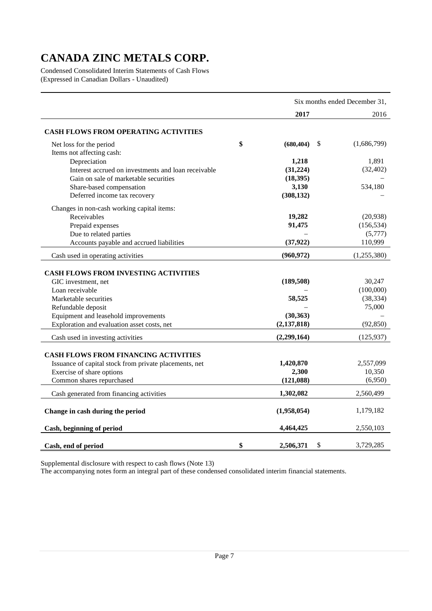Condensed Consolidated Interim Statements of Cash Flows (Expressed in Canadian Dollars - Unaudited)

|                                                        |                  | Six months ended December 31, |
|--------------------------------------------------------|------------------|-------------------------------|
|                                                        | 2017             | 2016                          |
| CASH FLOWS FROM OPERATING ACTIVITIES                   |                  |                               |
| Net loss for the period                                | \$<br>(680, 404) | \$<br>(1,686,799)             |
| Items not affecting cash:                              |                  |                               |
| Depreciation                                           | 1,218            | 1,891                         |
| Interest accrued on investments and loan receivable    | (31, 224)        | (32, 402)                     |
| Gain on sale of marketable securities                  | (18, 395)        |                               |
| Share-based compensation                               | 3,130            | 534,180                       |
| Deferred income tax recovery                           | (308, 132)       |                               |
| Changes in non-cash working capital items:             |                  |                               |
| Receivables                                            | 19,282           | (20, 938)                     |
| Prepaid expenses                                       | 91,475           | (156, 534)                    |
| Due to related parties                                 |                  | (5,777)                       |
| Accounts payable and accrued liabilities               | (37, 922)        | 110,999                       |
| Cash used in operating activities                      | (960, 972)       | (1,255,380)                   |
|                                                        |                  |                               |
| <b>CASH FLOWS FROM INVESTING ACTIVITIES</b>            |                  |                               |
| GIC investment, net                                    | (189,508)        | 30,247                        |
| Loan receivable                                        |                  | (100,000)                     |
| Marketable securities                                  | 58,525           | (38, 334)                     |
| Refundable deposit                                     |                  | 75,000                        |
| Equipment and leasehold improvements                   | (30, 363)        |                               |
| Exploration and evaluation asset costs, net            | (2, 137, 818)    | (92, 850)                     |
| Cash used in investing activities                      | (2,299,164)      | (125, 937)                    |
|                                                        |                  |                               |
| <b>CASH FLOWS FROM FINANCING ACTIVITIES</b>            | 1,420,870        | 2,557,099                     |
| Issuance of capital stock from private placements, net | 2,300            | 10,350                        |
| Exercise of share options<br>Common shares repurchased |                  |                               |
|                                                        | (121,088)        | (6,950)                       |
| Cash generated from financing activities               | 1,302,082        | 2,560,499                     |
| Change in cash during the period                       | (1,958,054)      | 1,179,182                     |
| Cash, beginning of period                              | 4,464,425        | 2,550,103                     |
| Cash, end of period                                    | \$<br>2,506,371  | \$<br>3,729,285               |

Supplemental disclosure with respect to cash flows (Note 13)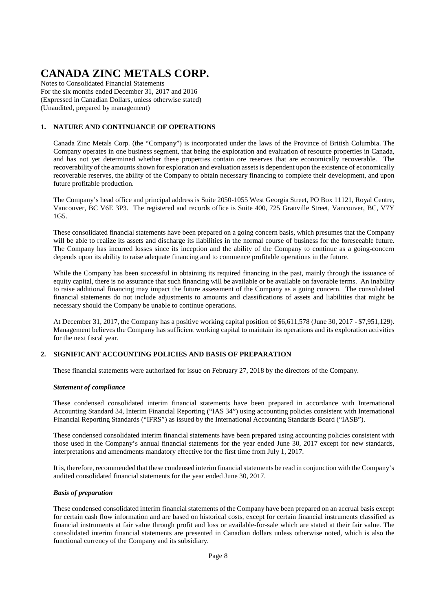Notes to Consolidated Financial Statements For the six months ended December 31, 2017 and 2016 (Expressed in Canadian Dollars, unless otherwise stated) (Unaudited, prepared by management)

### **1. NATURE AND CONTINUANCE OF OPERATIONS**

Canada Zinc Metals Corp. (the "Company") is incorporated under the laws of the Province of British Columbia. The Company operates in one business segment, that being the exploration and evaluation of resource properties in Canada, and has not yet determined whether these properties contain ore reserves that are economically recoverable. The recoverability of the amounts shown for exploration and evaluation assets is dependent upon the existence of economically recoverable reserves, the ability of the Company to obtain necessary financing to complete their development, and upon future profitable production.

The Company's head office and principal address is Suite 2050-1055 West Georgia Street, PO Box 11121, Royal Centre, Vancouver, BC V6E 3P3. The registered and records office is Suite 400, 725 Granville Street, Vancouver, BC, V7Y 1G5.

These consolidated financial statements have been prepared on a going concern basis, which presumes that the Company will be able to realize its assets and discharge its liabilities in the normal course of business for the foreseeable future. The Company has incurred losses since its inception and the ability of the Company to continue as a going-concern depends upon its ability to raise adequate financing and to commence profitable operations in the future.

While the Company has been successful in obtaining its required financing in the past, mainly through the issuance of equity capital, there is no assurance that such financing will be available or be available on favorable terms. An inability to raise additional financing may impact the future assessment of the Company as a going concern. The consolidated financial statements do not include adjustments to amounts and classifications of assets and liabilities that might be necessary should the Company be unable to continue operations.

At December 31, 2017, the Company has a positive working capital position of \$6,611,578 (June 30, 2017 - \$7,951,129). Management believes the Company has sufficient working capital to maintain its operations and its exploration activities for the next fiscal year.

### **2. SIGNIFICANT ACCOUNTING POLICIES AND BASIS OF PREPARATION**

These financial statements were authorized for issue on February 27, 2018 by the directors of the Company.

### *Statement of compliance*

These condensed consolidated interim financial statements have been prepared in accordance with International Accounting Standard 34, Interim Financial Reporting ("IAS 34") using accounting policies consistent with International Financial Reporting Standards ("IFRS") as issued by the International Accounting Standards Board ("IASB").

These condensed consolidated interim financial statements have been prepared using accounting policies consistent with those used in the Company's annual financial statements for the year ended June 30, 2017 except for new standards, interpretations and amendments mandatory effective for the first time from July 1, 2017.

It is, therefore, recommended that these condensed interim financial statements be read in conjunction with the Company's audited consolidated financial statements for the year ended June 30, 2017.

#### *Basis of preparation*

These condensed consolidated interim financial statements of the Company have been prepared on an accrual basis except for certain cash flow information and are based on historical costs, except for certain financial instruments classified as financial instruments at fair value through profit and loss or available-for-sale which are stated at their fair value. The consolidated interim financial statements are presented in Canadian dollars unless otherwise noted, which is also the functional currency of the Company and its subsidiary.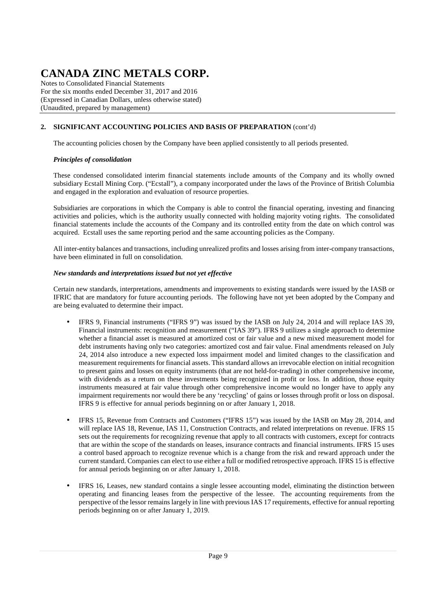Notes to Consolidated Financial Statements For the six months ended December 31, 2017 and 2016 (Expressed in Canadian Dollars, unless otherwise stated) (Unaudited, prepared by management)

## **2. SIGNIFICANT ACCOUNTING POLICIES AND BASIS OF PREPARATION** (cont'd)

The accounting policies chosen by the Company have been applied consistently to all periods presented.

### *Principles of consolidation*

These condensed consolidated interim financial statements include amounts of the Company and its wholly owned subsidiary Ecstall Mining Corp. ("Ecstall"), a company incorporated under the laws of the Province of British Columbia and engaged in the exploration and evaluation of resource properties.

Subsidiaries are corporations in which the Company is able to control the financial operating, investing and financing activities and policies, which is the authority usually connected with holding majority voting rights. The consolidated financial statements include the accounts of the Company and its controlled entity from the date on which control was acquired. Ecstall uses the same reporting period and the same accounting policies as the Company.

All inter-entity balances and transactions, including unrealized profits and losses arising from inter-company transactions, have been eliminated in full on consolidation.

### *New standards and interpretations issued but not yet effective*

Certain new standards, interpretations, amendments and improvements to existing standards were issued by the IASB or IFRIC that are mandatory for future accounting periods. The following have not yet been adopted by the Company and are being evaluated to determine their impact.

- IFRS 9, Financial instruments ("IFRS 9") was issued by the IASB on July 24, 2014 and will replace IAS 39, Financial instruments: recognition and measurement ("IAS 39"). IFRS 9 utilizes a single approach to determine whether a financial asset is measured at amortized cost or fair value and a new mixed measurement model for debt instruments having only two categories: amortized cost and fair value. Final amendments released on July 24, 2014 also introduce a new expected loss impairment model and limited changes to the classification and measurement requirements for financial assets. This standard allows an irrevocable election on initial recognition to present gains and losses on equity instruments (that are not held-for-trading) in other comprehensive income, with dividends as a return on these investments being recognized in profit or loss. In addition, those equity instruments measured at fair value through other comprehensive income would no longer have to apply any impairment requirements nor would there be any 'recycling' of gains or losses through profit or loss on disposal. IFRS 9 is effective for annual periods beginning on or after January 1, 2018.
- IFRS 15, Revenue from Contracts and Customers ("IFRS 15") was issued by the IASB on May 28, 2014, and will replace IAS 18, Revenue, IAS 11, Construction Contracts, and related interpretations on revenue. IFRS 15 sets out the requirements for recognizing revenue that apply to all contracts with customers, except for contracts that are within the scope of the standards on leases, insurance contracts and financial instruments. IFRS 15 uses a control based approach to recognize revenue which is a change from the risk and reward approach under the current standard. Companies can elect to use either a full or modified retrospective approach. IFRS 15 is effective for annual periods beginning on or after January 1, 2018.
- IFRS 16, Leases, new standard contains a single lessee accounting model, eliminating the distinction between operating and financing leases from the perspective of the lessee. The accounting requirements from the perspective of the lessor remains largely in line with previous IAS 17 requirements, effective for annual reporting periods beginning on or after January 1, 2019.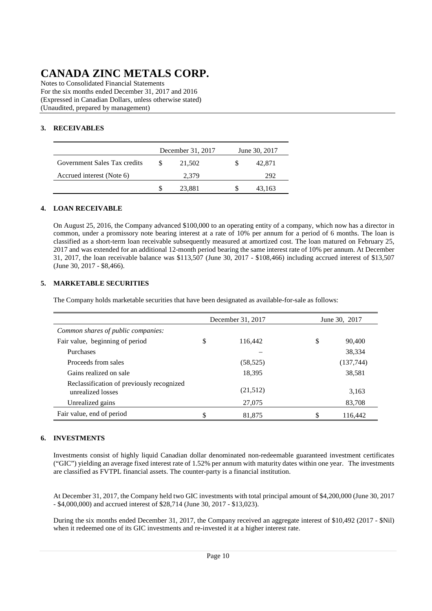Notes to Consolidated Financial Statements For the six months ended December 31, 2017 and 2016 (Expressed in Canadian Dollars, unless otherwise stated) (Unaudited, prepared by management)

## **3. RECEIVABLES**

|                              | December 31, 2017 | June 30, 2017 |
|------------------------------|-------------------|---------------|
| Government Sales Tax credits | 21,502            | 42.871        |
| Accrued interest (Note 6)    | 2.379             | 292           |
|                              | 23.881            | 43.163        |

### **4. LOAN RECEIVABLE**

On August 25, 2016, the Company advanced \$100,000 to an operating entity of a company, which now has a director in common, under a promissory note bearing interest at a rate of 10% per annum for a period of 6 months. The loan is classified as a short-term loan receivable subsequently measured at amortized cost. The loan matured on February 25, 2017 and was extended for an additional 12-month period bearing the same interest rate of 10% per annum. At December 31, 2017, the loan receivable balance was \$113,507 (June 30, 2017 - \$108,466) including accrued interest of \$13,507 (June 30, 2017 - \$8,466).

### **5. MARKETABLE SECURITIES**

The Company holds marketable securities that have been designated as available-for-sale as follows:

|                                                                | December 31, 2017 | June 30, 2017 |
|----------------------------------------------------------------|-------------------|---------------|
| Common shares of public companies:                             |                   |               |
| Fair value, beginning of period                                | \$<br>116.442     | \$<br>90,400  |
| Purchases                                                      |                   | 38,334        |
| Proceeds from sales                                            | (58, 525)         | (137,744)     |
| Gains realized on sale                                         | 18,395            | 38,581        |
| Reclassification of previously recognized<br>unrealized losses | (21,512)          | 3,163         |
| Unrealized gains                                               | 27,075            | 83,708        |
| Fair value, end of period                                      | \$<br>81,875      | \$<br>116.442 |

## **6. INVESTMENTS**

Investments consist of highly liquid Canadian dollar denominated non-redeemable guaranteed investment certificates ("GIC") yielding an average fixed interest rate of 1.52% per annum with maturity dates within one year. The investments are classified as FVTPL financial assets. The counter-party is a financial institution.

At December 31, 2017, the Company held two GIC investments with total principal amount of \$4,200,000 (June 30, 2017 - \$4,000,000) and accrued interest of \$28,714 (June 30, 2017 - \$13,023).

During the six months ended December 31, 2017, the Company received an aggregate interest of \$10,492 (2017 - \$Nil) when it redeemed one of its GIC investments and re-invested it at a higher interest rate.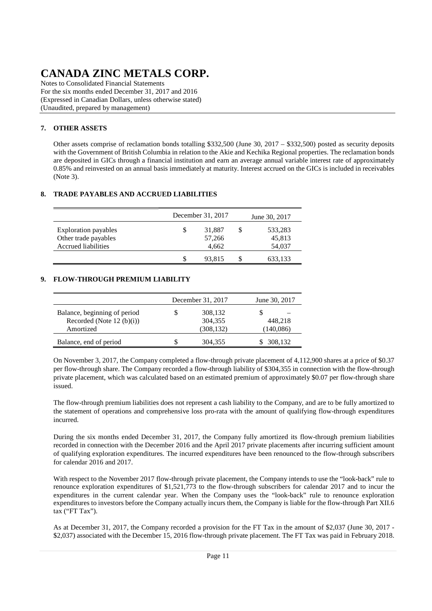Notes to Consolidated Financial Statements For the six months ended December 31, 2017 and 2016 (Expressed in Canadian Dollars, unless otherwise stated) (Unaudited, prepared by management)

## **7. OTHER ASSETS**

Other assets comprise of reclamation bonds totalling \$332,500 (June 30, 2017 – \$332,500) posted as security deposits with the Government of British Columbia in relation to the Akie and Kechika Regional properties. The reclamation bonds are deposited in GICs through a financial institution and earn an average annual variable interest rate of approximately 0.85% and reinvested on an annual basis immediately at maturity. Interest accrued on the GICs is included in receivables (Note 3).

### **8. TRADE PAYABLES AND ACCRUED LIABILITIES**

|                                                                                   |   | December 31, 2017         | June 30, 2017               |
|-----------------------------------------------------------------------------------|---|---------------------------|-----------------------------|
| <b>Exploration payables</b><br>Other trade payables<br><b>Accrued liabilities</b> | S | 31,887<br>57,266<br>4.662 | 533,283<br>45,813<br>54,037 |
|                                                                                   | S | 93,815                    | 633,133                     |

### **9. FLOW-THROUGH PREMIUM LIABILITY**

|                              | December 31, 2017 | June 30, 2017 |  |  |  |  |
|------------------------------|-------------------|---------------|--|--|--|--|
| Balance, beginning of period | 308,132           |               |  |  |  |  |
| Recorded (Note 12 $(b)(i)$ ) | 304,355           | 448.218       |  |  |  |  |
| Amortized                    | (308, 132)        | (140,086)     |  |  |  |  |
| Balance, end of period       | 304,355           | 308,132       |  |  |  |  |

On November 3, 2017, the Company completed a flow-through private placement of 4,112,900 shares at a price of \$0.37 per flow-through share. The Company recorded a flow-through liability of \$304,355 in connection with the flow-through private placement, which was calculated based on an estimated premium of approximately \$0.07 per flow-through share issued.

The flow-through premium liabilities does not represent a cash liability to the Company, and are to be fully amortized to the statement of operations and comprehensive loss pro-rata with the amount of qualifying flow-through expenditures incurred.

During the six months ended December 31, 2017, the Company fully amortized its flow-through premium liabilities recorded in connection with the December 2016 and the April 2017 private placements after incurring sufficient amount of qualifying exploration expenditures. The incurred expenditures have been renounced to the flow-through subscribers for calendar 2016 and 2017.

With respect to the November 2017 flow-through private placement, the Company intends to use the "look-back" rule to renounce exploration expenditures of \$1,521,773 to the flow-through subscribers for calendar 2017 and to incur the expenditures in the current calendar year. When the Company uses the "look-back" rule to renounce exploration expenditures to investors before the Company actually incurs them, the Company is liable for the flow-through Part XII.6 tax ("FT Tax").

As at December 31, 2017, the Company recorded a provision for the FT Tax in the amount of \$2,037 (June 30, 2017 - \$2,037) associated with the December 15, 2016 flow-through private placement. The FT Tax was paid in February 2018.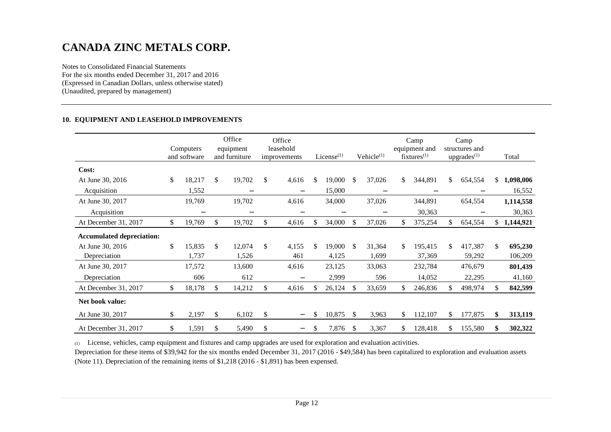Notes to Consolidated Financial Statements For the six months ended December 31, 2017 and 2016 (Expressed in Canadian Dollars, unless otherwise stated) (Unaudited, prepared by management)

#### **10. EQUIPMENT AND LEASEHOLD IMPROVEMENTS**

|                                  | Computers<br>and software |    | Office<br>equipment<br>and furniture | Office<br>leasehold<br>improvements |    | License $(1)$ |     | Vehicle <sup>(1)</sup>   |     | Camp<br>equipment and<br>$fixtures^{(1)}$ |     | Camp<br>structures and<br>$upgrades^{(1)}$ |     | Total       |
|----------------------------------|---------------------------|----|--------------------------------------|-------------------------------------|----|---------------|-----|--------------------------|-----|-------------------------------------------|-----|--------------------------------------------|-----|-------------|
| Cost:                            |                           |    |                                      |                                     |    |               |     |                          |     |                                           |     |                                            |     |             |
| At June 30, 2016                 | \$<br>18,217              | \$ | 19,702                               | \$<br>4,616                         | \$ | 19,000        | \$  | 37,026                   | \$  | 344,891                                   | \$. | 654,554                                    |     | \$1,098,006 |
| Acquisition                      | 1,552                     |    |                                      |                                     |    | 15,000        |     |                          |     |                                           |     |                                            |     | 16,552      |
| At June 30, 2017                 | 19,769                    |    | 19,702                               | 4,616                               |    | 34,000        |     | 37,026                   |     | 344,891                                   |     | 654,554                                    |     | 1,114,558   |
| Acquisition                      | —                         |    |                                      |                                     |    | —             |     | $\overline{\phantom{0}}$ |     | 30,363                                    |     | —                                          |     | 30,363      |
| At December 31, 2017             | \$<br>19,769              | \$ | 19,702                               | \$<br>4,616                         | \$ | 34,000        | \$  | 37,026                   | \$. | 375,254                                   | \$  | 654,554                                    |     | \$1,144,921 |
| <b>Accumulated depreciation:</b> |                           |    |                                      |                                     |    |               |     |                          |     |                                           |     |                                            |     |             |
| At June 30, 2016                 | \$<br>15,835              | \$ | 12,074                               | \$<br>4,155                         | \$ | 19,000        | \$. | 31,364                   | \$. | 195,415                                   | \$. | 417,387                                    | \$  | 695,230     |
| Depreciation                     | 1,737                     |    | 1,526                                | 461                                 |    | 4,125         |     | 1,699                    |     | 37,369                                    |     | 59,292                                     |     | 106,209     |
| At June 30, 2017                 | 17,572                    |    | 13,600                               | 4,616                               |    | 23,125        |     | 33,063                   |     | 232,784                                   |     | 476,679                                    |     | 801,439     |
| Depreciation                     | 606                       |    | 612                                  |                                     |    | 2,999         |     | 596                      |     | 14,052                                    |     | 22,295                                     |     | 41,160      |
| At December 31, 2017             | \$<br>18,178              | S. | 14,212                               | 4,616                               | S. | 26,124        | \$. | 33,659                   | \$  | 246,836                                   | S.  | 498,974                                    | \$. | 842,599     |
| Net book value:                  |                           |    |                                      |                                     |    |               |     |                          |     |                                           |     |                                            |     |             |
| At June 30, 2017                 | \$<br>2,197               | \$ | 6,102                                | \$                                  | \$ | 10,875        | \$  | 3,963                    | \$  | 112,107                                   | \$  | 177,875                                    | \$  | 313,119     |
| At December 31, 2017             | \$<br>1,591               | \$ | 5,490                                | \$<br>$\overline{\phantom{0}}$      | \$ | 7,876         | \$. | 3,367                    | \$  | 128,418                                   | \$  | 155,580                                    | \$  | 302,322     |

(1) License, vehicles, camp equipment and fixtures and camp upgrades are used for exploration and evaluation activities.

 Depreciation for these items of \$39,942 for the six months ended December 31, 2017 (2016 - \$49,584) has been capitalized to exploration and evaluation assets (Note 11). Depreciation of the remaining items of \$1,218 (2016 - \$1,891) has been expensed.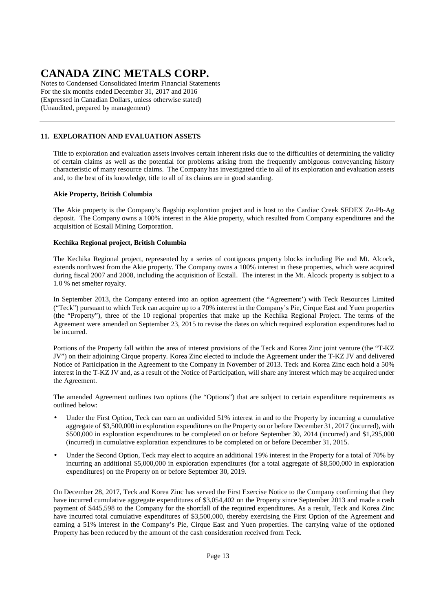Notes to Condensed Consolidated Interim Financial Statements For the six months ended December 31, 2017 and 2016 (Expressed in Canadian Dollars, unless otherwise stated) (Unaudited, prepared by management)

## **11. EXPLORATION AND EVALUATION ASSETS**

Title to exploration and evaluation assets involves certain inherent risks due to the difficulties of determining the validity of certain claims as well as the potential for problems arising from the frequently ambiguous conveyancing history characteristic of many resource claims. The Company has investigated title to all of its exploration and evaluation assets and, to the best of its knowledge, title to all of its claims are in good standing.

### **Akie Property, British Columbia**

The Akie property is the Company's flagship exploration project and is host to the Cardiac Creek SEDEX Zn-Pb-Ag deposit. The Company owns a 100% interest in the Akie property, which resulted from Company expenditures and the acquisition of Ecstall Mining Corporation.

### **Kechika Regional project, British Columbia**

The Kechika Regional project, represented by a series of contiguous property blocks including Pie and Mt. Alcock, extends northwest from the Akie property. The Company owns a 100% interest in these properties, which were acquired during fiscal 2007 and 2008, including the acquisition of Ecstall. The interest in the Mt. Alcock property is subject to a 1.0 % net smelter royalty.

In September 2013, the Company entered into an option agreement (the "Agreement') with Teck Resources Limited ("Teck") pursuant to which Teck can acquire up to a 70% interest in the Company's Pie, Cirque East and Yuen properties (the "Property"), three of the 10 regional properties that make up the Kechika Regional Project. The terms of the Agreement were amended on September 23, 2015 to revise the dates on which required exploration expenditures had to be incurred.

Portions of the Property fall within the area of interest provisions of the Teck and Korea Zinc joint venture (the "T-KZ JV") on their adjoining Cirque property. Korea Zinc elected to include the Agreement under the T-KZ JV and delivered Notice of Participation in the Agreement to the Company in November of 2013. Teck and Korea Zinc each hold a 50% interest in the T-KZ JV and, as a result of the Notice of Participation, will share any interest which may be acquired under the Agreement.

The amended Agreement outlines two options (the "Options") that are subject to certain expenditure requirements as outlined below:

- Under the First Option, Teck can earn an undivided 51% interest in and to the Property by incurring a cumulative aggregate of \$3,500,000 in exploration expenditures on the Property on or before December 31, 2017 (incurred), with \$500,000 in exploration expenditures to be completed on or before September 30, 2014 (incurred) and \$1,295,000 (incurred) in cumulative exploration expenditures to be completed on or before December 31, 2015.
- Under the Second Option, Teck may elect to acquire an additional 19% interest in the Property for a total of 70% by incurring an additional \$5,000,000 in exploration expenditures (for a total aggregate of \$8,500,000 in exploration expenditures) on the Property on or before September 30, 2019.

On December 28, 2017, Teck and Korea Zinc has served the First Exercise Notice to the Company confirming that they have incurred cumulative aggregate expenditures of \$3,054,402 on the Property since September 2013 and made a cash payment of \$445,598 to the Company for the shortfall of the required expenditures. As a result, Teck and Korea Zinc have incurred total cumulative expenditures of \$3,500,000, thereby exercising the First Option of the Agreement and earning a 51% interest in the Company's Pie, Cirque East and Yuen properties. The carrying value of the optioned Property has been reduced by the amount of the cash consideration received from Teck.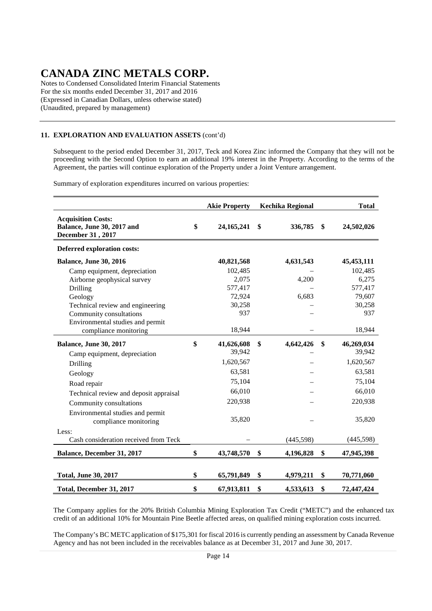Notes to Condensed Consolidated Interim Financial Statements For the six months ended December 31, 2017 and 2016 (Expressed in Canadian Dollars, unless otherwise stated) (Unaudited, prepared by management)

### **11. EXPLORATION AND EVALUATION ASSETS** (cont'd)

Subsequent to the period ended December 31, 2017, Teck and Korea Zinc informed the Company that they will not be proceeding with the Second Option to earn an additional 19% interest in the Property. According to the terms of the Agreement, the parties will continue exploration of the Property under a Joint Venture arrangement.

Summary of exploration expenditures incurred on various properties:

|                                                                              | <b>Akie Property</b> | <b>Kechika Regional</b> | <b>Total</b>     |
|------------------------------------------------------------------------------|----------------------|-------------------------|------------------|
| <b>Acquisition Costs:</b><br>Balance, June 30, 2017 and<br>December 31, 2017 | \$<br>24, 165, 241   | \$<br>336,785           | \$<br>24,502,026 |
| <b>Deferred exploration costs:</b>                                           |                      |                         |                  |
| <b>Balance, June 30, 2016</b>                                                | 40,821,568           | 4,631,543               | 45, 453, 111     |
| Camp equipment, depreciation                                                 | 102,485              |                         | 102,485          |
| Airborne geophysical survey                                                  | 2,075                | 4,200                   | 6,275            |
| Drilling                                                                     | 577,417              |                         | 577,417          |
| Geology                                                                      | 72,924               | 6,683                   | 79,607           |
| Technical review and engineering                                             | 30,258               |                         | 30,258           |
| Community consultations                                                      | 937                  |                         | 937              |
| Environmental studies and permit                                             |                      |                         |                  |
| compliance monitoring                                                        | 18,944               |                         | 18,944           |
| <b>Balance, June 30, 2017</b>                                                | \$<br>41,626,608     | \$<br>4,642,426         | \$<br>46,269,034 |
| Camp equipment, depreciation                                                 | 39,942               |                         | 39,942           |
| Drilling                                                                     | 1,620,567            |                         | 1,620,567        |
| Geology                                                                      | 63,581               |                         | 63,581           |
| Road repair                                                                  | 75,104               |                         | 75,104           |
| Technical review and deposit appraisal                                       | 66,010               |                         | 66,010           |
| Community consultations                                                      | 220,938              |                         | 220,938          |
| Environmental studies and permit<br>compliance monitoring                    | 35,820               |                         | 35,820           |
| Less:                                                                        |                      |                         |                  |
| Cash consideration received from Teck                                        |                      | (445,598)               | (445,598)        |
| Balance, December 31, 2017                                                   | \$<br>43,748,570     | \$<br>4,196,828         | \$<br>47,945,398 |
|                                                                              |                      |                         |                  |
| <b>Total, June 30, 2017</b>                                                  | \$<br>65,791,849     | \$<br>4,979,211         | \$<br>70,771,060 |
| Total, December 31, 2017                                                     | \$<br>67,913,811     | \$<br>4,533,613         | \$<br>72,447,424 |

The Company applies for the 20% British Columbia Mining Exploration Tax Credit ("METC") and the enhanced tax credit of an additional 10% for Mountain Pine Beetle affected areas, on qualified mining exploration costs incurred.

The Company's BC METC application of \$175,301 for fiscal 2016 is currently pending an assessment by Canada Revenue Agency and has not been included in the receivables balance as at December 31, 2017 and June 30, 2017.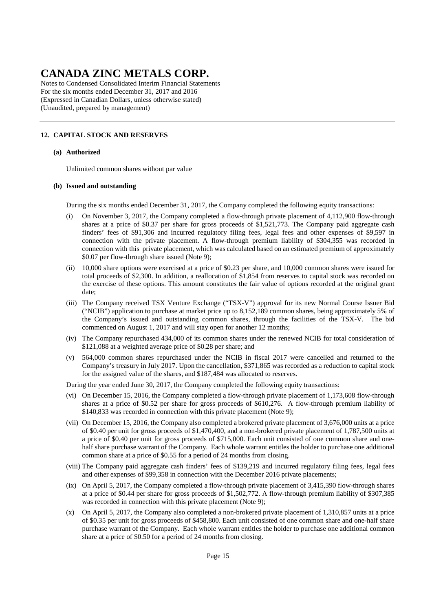Notes to Condensed Consolidated Interim Financial Statements For the six months ended December 31, 2017 and 2016 (Expressed in Canadian Dollars, unless otherwise stated) (Unaudited, prepared by management)

## **12. CAPITAL STOCK AND RESERVES**

#### **(a) Authorized**

Unlimited common shares without par value

#### **(b) Issued and outstanding**

During the six months ended December 31, 2017, the Company completed the following equity transactions:

- (i) On November 3, 2017, the Company completed a flow-through private placement of 4,112,900 flow-through shares at a price of \$0.37 per share for gross proceeds of \$1,521,773. The Company paid aggregate cash finders' fees of \$91,306 and incurred regulatory filing fees, legal fees and other expenses of \$9,597 in connection with the private placement. A flow-through premium liability of \$304,355 was recorded in connection with this private placement, which was calculated based on an estimated premium of approximately \$0.07 per flow-through share issued (Note 9);
- (ii) 10,000 share options were exercised at a price of \$0.23 per share, and 10,000 common shares were issued for total proceeds of \$2,300. In addition, a reallocation of \$1,854 from reserves to capital stock was recorded on the exercise of these options. This amount constitutes the fair value of options recorded at the original grant date;
- (iii) The Company received TSX Venture Exchange ("TSX-V") approval for its new Normal Course Issuer Bid ("NCIB") application to purchase at market price up to 8,152,189 common shares, being approximately 5% of the Company's issued and outstanding common shares, through the facilities of the TSX-V. The bid commenced on August 1, 2017 and will stay open for another 12 months;
- (iv) The Company repurchased 434,000 of its common shares under the renewed NCIB for total consideration of \$121,088 at a weighted average price of \$0.28 per share; and
- (v) 564,000 common shares repurchased under the NCIB in fiscal 2017 were cancelled and returned to the Company's treasury in July 2017. Upon the cancellation, \$371,865 was recorded as a reduction to capital stock for the assigned value of the shares, and \$187,484 was allocated to reserves.

During the year ended June 30, 2017, the Company completed the following equity transactions:

- (vi) On December 15, 2016, the Company completed a flow-through private placement of 1,173,608 flow-through shares at a price of \$0.52 per share for gross proceeds of \$610,276. A flow-through premium liability of \$140,833 was recorded in connection with this private placement (Note 9);
- (vii) On December 15, 2016, the Company also completed a brokered private placement of 3,676,000 units at a price of \$0.40 per unit for gross proceeds of \$1,470,400, and a non-brokered private placement of 1,787,500 units at a price of \$0.40 per unit for gross proceeds of \$715,000. Each unit consisted of one common share and one half share purchase warrant of the Company. Each whole warrant entitles the holder to purchase one additional common share at a price of \$0.55 for a period of 24 months from closing.
- (viii) The Company paid aggregate cash finders' fees of \$139,219 and incurred regulatory filing fees, legal fees and other expenses of \$99,358 in connection with the December 2016 private placements;
- (ix) On April 5, 2017, the Company completed a flow-through private placement of 3,415,390 flow-through shares at a price of \$0.44 per share for gross proceeds of \$1,502,772. A flow-through premium liability of \$307,385 was recorded in connection with this private placement (Note 9);
- (x) On April 5, 2017, the Company also completed a non-brokered private placement of 1,310,857 units at a price of \$0.35 per unit for gross proceeds of \$458,800. Each unit consisted of one common share and one-half share purchase warrant of the Company. Each whole warrant entitles the holder to purchase one additional common share at a price of \$0.50 for a period of 24 months from closing.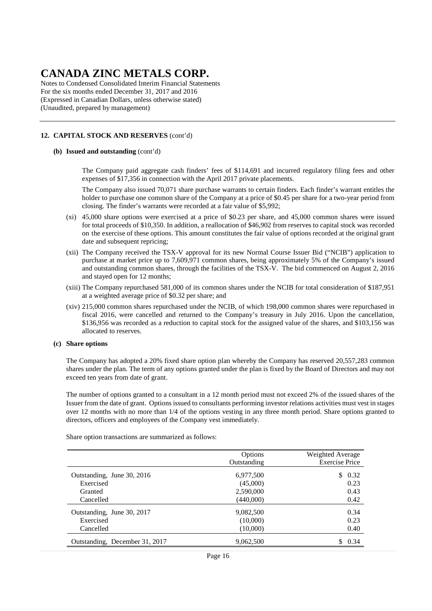Notes to Condensed Consolidated Interim Financial Statements For the six months ended December 31, 2017 and 2016 (Expressed in Canadian Dollars, unless otherwise stated) (Unaudited, prepared by management)

### **12. CAPITAL STOCK AND RESERVES** (cont'd)

#### **(b) Issued and outstanding** (cont'd)

 The Company paid aggregate cash finders' fees of \$114,691 and incurred regulatory filing fees and other expenses of \$17,356 in connection with the April 2017 private placements.

 The Company also issued 70,071 share purchase warrants to certain finders. Each finder's warrant entitles the holder to purchase one common share of the Company at a price of \$0.45 per share for a two-year period from closing. The finder's warrants were recorded at a fair value of \$5,992;

- (xi) 45,000 share options were exercised at a price of \$0.23 per share, and 45,000 common shares were issued for total proceeds of \$10,350. In addition, a reallocation of \$46,902 from reserves to capital stock was recorded on the exercise of these options. This amount constitutes the fair value of options recorded at the original grant date and subsequent repricing;
- (xii) The Company received the TSX-V approval for its new Normal Course Issuer Bid ("NCIB") application to purchase at market price up to 7,609,971 common shares, being approximately 5% of the Company's issued and outstanding common shares, through the facilities of the TSX-V. The bid commenced on August 2, 2016 and stayed open for 12 months;
- (xiii) The Company repurchased 581,000 of its common shares under the NCIB for total consideration of \$187,951 at a weighted average price of \$0.32 per share; and
- (xiv) 215,000 common shares repurchased under the NCIB, of which 198,000 common shares were repurchased in fiscal 2016, were cancelled and returned to the Company's treasury in July 2016. Upon the cancellation, \$136,956 was recorded as a reduction to capital stock for the assigned value of the shares, and \$103,156 was allocated to reserves.

#### **(c) Share options**

 The Company has adopted a 20% fixed share option plan whereby the Company has reserved 20,557,283 common shares under the plan. The term of any options granted under the plan is fixed by the Board of Directors and may not exceed ten years from date of grant.

 The number of options granted to a consultant in a 12 month period must not exceed 2% of the issued shares of the Issuer from the date of grant. Options issued to consultants performing investor relations activities must vest in stages over 12 months with no more than 1/4 of the options vesting in any three month period. Share options granted to directors, officers and employees of the Company vest immediately.

Share option transactions are summarized as follows:

|                                | <b>Options</b><br>Outstanding | Weighted Average<br><b>Exercise Price</b> |
|--------------------------------|-------------------------------|-------------------------------------------|
| Outstanding, June 30, 2016     | 6,977,500                     | \$0.32                                    |
| Exercised                      | (45,000)                      | 0.23                                      |
| Granted                        | 2,590,000                     | 0.43                                      |
| Cancelled                      | (440,000)                     | 0.42                                      |
| Outstanding, June 30, 2017     | 9,082,500                     | 0.34                                      |
| Exercised                      | (10,000)                      | 0.23                                      |
| Cancelled                      | (10,000)                      | 0.40                                      |
| Outstanding, December 31, 2017 | 9,062,500                     | \$0.34                                    |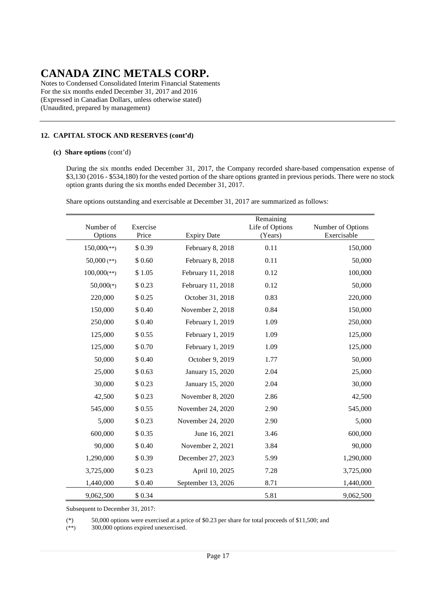Notes to Condensed Consolidated Interim Financial Statements For the six months ended December 31, 2017 and 2016 (Expressed in Canadian Dollars, unless otherwise stated) (Unaudited, prepared by management)

## **12. CAPITAL STOCK AND RESERVES (cont'd)**

#### **(c) Share options** (cont'd)

During the six months ended December 31, 2017, the Company recorded share-based compensation expense of \$3,130 (2016 - \$534,180) for the vested portion of the share options granted in previous periods. There were no stock option grants during the six months ended December 31, 2017.

|  | Share options outstanding and exercisable at December 31, 2017 are summarized as follows: |  |  |  |  |
|--|-------------------------------------------------------------------------------------------|--|--|--|--|
|--|-------------------------------------------------------------------------------------------|--|--|--|--|

| Number of<br>Options      | Exercise<br>Price | <b>Expiry Date</b> | Remaining<br>Life of Options<br>(Years) | Number of Options<br>Exercisable |
|---------------------------|-------------------|--------------------|-----------------------------------------|----------------------------------|
| $150,000$ <sup>(**)</sup> | \$0.39            | February 8, 2018   | 0.11                                    | 150,000                          |
| 50,000 $(**)$             | \$0.60            | February 8, 2018   | 0.11                                    | 50,000                           |
| $100,000$ <sup>(**)</sup> | \$1.05            | February 11, 2018  | 0.12                                    | 100,000                          |
| $50,000(*)$               | \$0.23            | February 11, 2018  | 0.12                                    | 50,000                           |
| 220,000                   | \$0.25            | October 31, 2018   | 0.83                                    | 220,000                          |
| 150,000                   | \$0.40            | November 2, 2018   | 0.84                                    | 150,000                          |
| 250,000                   | \$0.40            | February 1, 2019   | 1.09                                    | 250,000                          |
| 125,000                   | \$0.55            | February 1, 2019   | 1.09                                    | 125,000                          |
| 125,000                   | \$0.70            | February 1, 2019   | 1.09                                    | 125,000                          |
| 50,000                    | \$0.40            | October 9, 2019    | 1.77                                    | 50,000                           |
| 25,000                    | \$0.63            | January 15, 2020   | 2.04                                    | 25,000                           |
| 30,000                    | \$0.23            | January 15, 2020   | 2.04                                    | 30,000                           |
| 42,500                    | \$0.23            | November 8, 2020   | 2.86                                    | 42,500                           |
| 545,000                   | \$0.55            | November 24, 2020  | 2.90                                    | 545,000                          |
| 5,000                     | \$0.23            | November 24, 2020  | 2.90                                    | 5,000                            |
| 600,000                   | \$0.35            | June 16, 2021      | 3.46                                    | 600,000                          |
| 90,000                    | \$0.40            | November 2, 2021   | 3.84                                    | 90,000                           |
| 1,290,000                 | \$0.39            | December 27, 2023  | 5.99                                    | 1,290,000                        |
| 3,725,000                 | \$0.23            | April 10, 2025     | 7.28                                    | 3,725,000                        |
| 1,440,000                 | \$ 0.40           | September 13, 2026 | 8.71                                    | 1,440,000                        |
| 9,062,500                 | \$0.34            |                    | 5.81                                    | 9,062,500                        |

Subsequent to December 31, 2017:

(\*) 50,000 options were exercised at a price of \$0.23 per share for total proceeds of \$11,500; and  $(***)$  300,000 options expired unexercised.

300,000 options expired unexercised.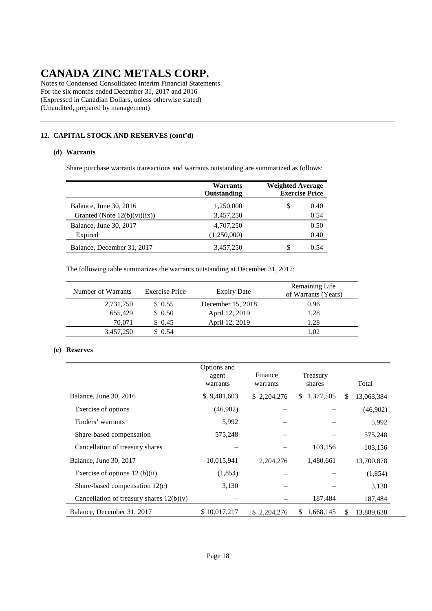Notes to Condensed Consolidated Interim Financial Statements For the six months ended December 31, 2017 and 2016 (Expressed in Canadian Dollars, unless otherwise stated) (Unaudited, prepared by management)

## **12. CAPITAL STOCK AND RESERVES (cont'd)**

### **(d) Warrants**

Share purchase warrants transactions and warrants outstanding are summarized as follows:

|                                 | Warrants<br>Outstanding | <b>Weighted Average</b><br><b>Exercise Price</b> |      |
|---------------------------------|-------------------------|--------------------------------------------------|------|
| Balance, June 30, 2016          | 1,250,000               | S                                                | 0.40 |
| Granted (Note $12(b)(vi)(ix)$ ) | 3,457,250               |                                                  | 0.54 |
| Balance, June 30, 2017          | 4,707,250               |                                                  | 0.50 |
| Expired                         | (1,250,000)             |                                                  | 0.40 |
| Balance, December 31, 2017      | 3,457,250               | S                                                | 0.54 |

The following table summarizes the warrants outstanding at December 31, 2017:

| Number of Warrants | Exercise Price | <b>Expiry Date</b> | Remaining Life<br>of Warrants (Years) |
|--------------------|----------------|--------------------|---------------------------------------|
| 2,731,750          | \$0.55         | December 15, 2018  | 0.96                                  |
| 655,429            | \$0.50         | April 12, 2019     | 1.28                                  |
| 70.071             | \$0.45         | April 12, 2019     | 1.28                                  |
| 3,457,250          | \$0.54         |                    | 1.02                                  |

### **(e) Reserves**

|                                            | Options and<br>agent<br>warrants | Finance<br>warrants | Treasury<br>shares |     | Total      |
|--------------------------------------------|----------------------------------|---------------------|--------------------|-----|------------|
| Balance, June 30, 2016                     | \$9,481,603                      | \$2,204,276         | 1,377,505<br>S.    | \$. | 13,063,384 |
| Exercise of options                        | (46,902)                         |                     |                    |     | (46,902)   |
| Finders' warrants                          | 5,992                            |                     |                    |     | 5,992      |
| Share-based compensation                   | 575,248                          |                     |                    |     | 575,248    |
| Cancellation of treasury shares            |                                  |                     | 103,156            |     | 103,156    |
| Balance, June 30, 2017                     | 10,015,941                       | 2.204.276           | 1,480,661          |     | 13,700,878 |
| Exercise of options $12$ (b)(ii)           | (1,854)                          |                     |                    |     | (1,854)    |
| Share-based compensation 12(c)             | 3,130                            |                     |                    |     | 3,130      |
| Cancellation of treasury shares $12(b)(v)$ |                                  |                     | 187,484            |     | 187,484    |
| Balance, December 31, 2017                 | \$10,017,217                     | \$2.204.276         | 1,668,145<br>S     | \$  | 13.889.638 |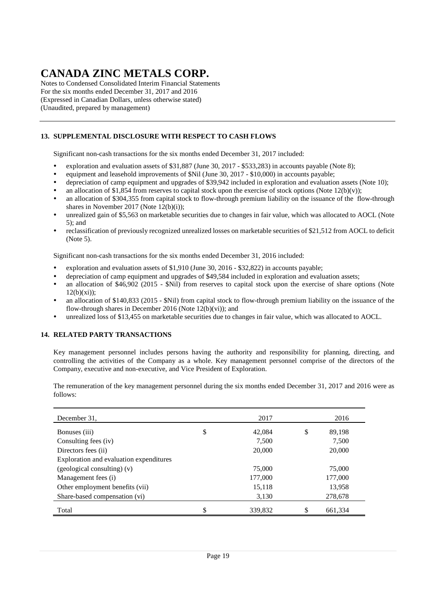Notes to Condensed Consolidated Interim Financial Statements For the six months ended December 31, 2017 and 2016 (Expressed in Canadian Dollars, unless otherwise stated) (Unaudited, prepared by management)

## **13. SUPPLEMENTAL DISCLOSURE WITH RESPECT TO CASH FLOWS**

Significant non-cash transactions for the six months ended December 31, 2017 included:

- exploration and evaluation assets of \$31,887 (June 30, 2017 \$533,283) in accounts payable (Note 8);
- equipment and leasehold improvements of \$Nil (June 30, 2017 \$10,000) in accounts payable;
- depreciation of camp equipment and upgrades of \$39,942 included in exploration and evaluation assets (Note 10);
- an allocation of \$1,854 from reserves to capital stock upon the exercise of stock options (Note 12(b)(v));
- an allocation of \$304,355 from capital stock to flow-through premium liability on the issuance of the flow-through shares in November 2017 (Note  $12(b)(i)$ );
- unrealized gain of \$5,563 on marketable securities due to changes in fair value, which was allocated to AOCL (Note 5); and
- reclassification of previously recognized unrealized losses on marketable securities of \$21,512 from AOCL to deficit (Note 5).

Significant non-cash transactions for the six months ended December 31, 2016 included:

- exploration and evaluation assets of \$1,910 (June 30, 2016 \$32,822) in accounts payable;
- depreciation of camp equipment and upgrades of \$49,584 included in exploration and evaluation assets;
- an allocation of \$46,902 (2015 \$Nil) from reserves to capital stock upon the exercise of share options (Note  $12(h)(xi)$
- an allocation of \$140,833 (2015 \$Nil) from capital stock to flow-through premium liability on the issuance of the flow-through shares in December 2016 (Note  $12(b)(vi)$ ); and
- unrealized loss of \$13,455 on marketable securities due to changes in fair value, which was allocated to AOCL.

### **14. RELATED PARTY TRANSACTIONS**

Key management personnel includes persons having the authority and responsibility for planning, directing, and controlling the activities of the Company as a whole. Key management personnel comprise of the directors of the Company, executive and non-executive, and Vice President of Exploration.

The remuneration of the key management personnel during the six months ended December 31, 2017 and 2016 were as follows:

| December 31,                            | 2017          | 2016          |
|-----------------------------------------|---------------|---------------|
| Bonuses (iii)                           | \$<br>42,084  | \$<br>89,198  |
| Consulting fees (iv)                    | 7,500         | 7,500         |
| Directors fees (ii)                     | 20,000        | 20,000        |
| Exploration and evaluation expenditures |               |               |
| (geological consulting) (v)             | 75,000        | 75,000        |
| Management fees (i)                     | 177,000       | 177,000       |
| Other employment benefits (vii)         | 15,118        | 13,958        |
| Share-based compensation (vi)           | 3,130         | 278,678       |
| Total                                   | \$<br>339,832 | \$<br>661,334 |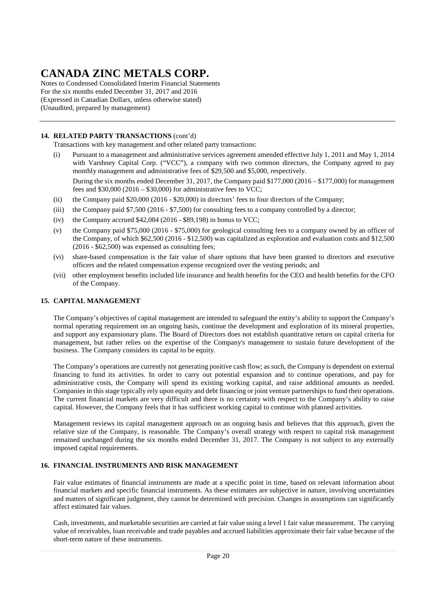Notes to Condensed Consolidated Interim Financial Statements For the six months ended December 31, 2017 and 2016 (Expressed in Canadian Dollars, unless otherwise stated) (Unaudited, prepared by management)

### **14. RELATED PARTY TRANSACTIONS** (cont'd)

Transactions with key management and other related party transactions:

- (i) Pursuant to a management and administrative services agreement amended effective July 1, 2011 and May 1, 2014 with Varshney Capital Corp. ("VCC"), a company with two common directors, the Company agreed to pay monthly management and administrative fees of \$29,500 and \$5,000, respectively. During the six months ended December 31, 2017, the Company paid \$177,000 (2016 – \$177,000) for management fees and  $$30,000 (2016 - $30,000)$  for administrative fees to VCC;
- (ii) the Company paid \$20,000 (2016 \$20,000) in directors' fees to four directors of the Company;
- (iii) the Company paid \$7,500 (2016 \$7,500) for consulting fees to a company controlled by a director;
- (iv) the Company accrued  $$42,084$  (2016 \$89,198) in bonus to VCC;
- (v) the Company paid \$75,000 (2016 \$75,000) for geological consulting fees to a company owned by an officer of the Company, of which \$62,500 (2016 - \$12,500) was capitalized as exploration and evaluation costs and \$12,500 (2016 - \$62,500) was expensed as consulting fees;
- (vi) share-based compensation is the fair value of share options that have been granted to directors and executive officers and the related compensation expense recognized over the vesting periods; and
- (vii) other employment benefits included life insurance and health benefits for the CEO and health benefits for the CFO of the Company.

#### **15. CAPITAL MANAGEMENT**

The Company's objectives of capital management are intended to safeguard the entity's ability to support the Company's normal operating requirement on an ongoing basis, continue the development and exploration of its mineral properties, and support any expansionary plans. The Board of Directors does not establish quantitative return on capital criteria for management, but rather relies on the expertise of the Company's management to sustain future development of the business. The Company considers its capital to be equity.

The Company's operations are currently not generating positive cash flow; as such, the Company is dependent on external financing to fund its activities. In order to carry out potential expansion and to continue operations, and pay for administrative costs, the Company will spend its existing working capital, and raise additional amounts as needed. Companies in this stage typically rely upon equity and debt financing or joint venture partnerships to fund their operations. The current financial markets are very difficult and there is no certainty with respect to the Company's ability to raise capital. However, the Company feels that it has sufficient working capital to continue with planned activities.

Management reviews its capital management approach on an ongoing basis and believes that this approach, given the relative size of the Company, is reasonable. The Company's overall strategy with respect to capital risk management remained unchanged during the six months ended December 31, 2017. The Company is not subject to any externally imposed capital requirements.

### **16. FINANCIAL INSTRUMENTS AND RISK MANAGEMENT**

Fair value estimates of financial instruments are made at a specific point in time, based on relevant information about financial markets and specific financial instruments. As these estimates are subjective in nature, involving uncertainties and matters of significant judgment, they cannot be determined with precision. Changes in assumptions can significantly affect estimated fair values.

Cash, investments, and marketable securities are carried at fair value using a level 1 fair value measurement. The carrying value of receivables, loan receivable and trade payables and accrued liabilities approximate their fair value because of the short-term nature of these instruments.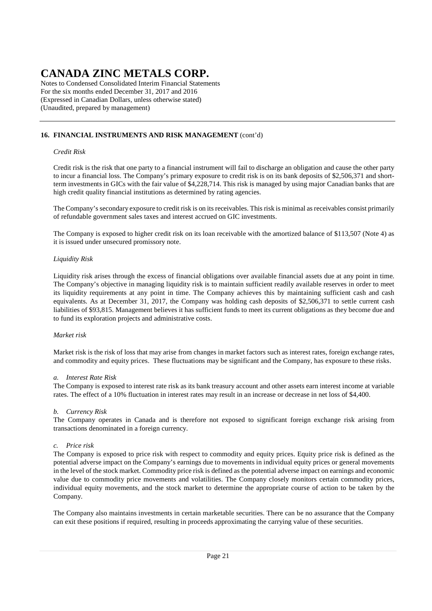Notes to Condensed Consolidated Interim Financial Statements For the six months ended December 31, 2017 and 2016 (Expressed in Canadian Dollars, unless otherwise stated) (Unaudited, prepared by management)

### **16. FINANCIAL INSTRUMENTS AND RISK MANAGEMENT** (cont'd)

#### *Credit Risk*

Credit risk is the risk that one party to a financial instrument will fail to discharge an obligation and cause the other party to incur a financial loss. The Company's primary exposure to credit risk is on its bank deposits of \$2,506,371 and shortterm investments in GICs with the fair value of \$4,228,714. This risk is managed by using major Canadian banks that are high credit quality financial institutions as determined by rating agencies.

The Company's secondary exposure to credit risk is on its receivables. This risk is minimal as receivables consist primarily of refundable government sales taxes and interest accrued on GIC investments.

The Company is exposed to higher credit risk on its loan receivable with the amortized balance of \$113,507 (Note 4) as it is issued under unsecured promissory note.

#### *Liquidity Risk*

Liquidity risk arises through the excess of financial obligations over available financial assets due at any point in time. The Company's objective in managing liquidity risk is to maintain sufficient readily available reserves in order to meet its liquidity requirements at any point in time. The Company achieves this by maintaining sufficient cash and cash equivalents. As at December 31, 2017, the Company was holding cash deposits of \$2,506,371 to settle current cash liabilities of \$93,815. Management believes it has sufficient funds to meet its current obligations as they become due and to fund its exploration projects and administrative costs.

#### *Market risk*

Market risk is the risk of loss that may arise from changes in market factors such as interest rates, foreign exchange rates, and commodity and equity prices. These fluctuations may be significant and the Company, has exposure to these risks.

#### *a. Interest Rate Risk*

The Company is exposed to interest rate risk as its bank treasury account and other assets earn interest income at variable rates. The effect of a 10% fluctuation in interest rates may result in an increase or decrease in net loss of \$4,400.

### *b. Currency Risk*

The Company operates in Canada and is therefore not exposed to significant foreign exchange risk arising from transactions denominated in a foreign currency.

### *c. Price risk*

The Company is exposed to price risk with respect to commodity and equity prices. Equity price risk is defined as the potential adverse impact on the Company's earnings due to movements in individual equity prices or general movements in the level of the stock market. Commodity price risk is defined as the potential adverse impact on earnings and economic value due to commodity price movements and volatilities. The Company closely monitors certain commodity prices, individual equity movements, and the stock market to determine the appropriate course of action to be taken by the Company.

The Company also maintains investments in certain marketable securities. There can be no assurance that the Company can exit these positions if required, resulting in proceeds approximating the carrying value of these securities.